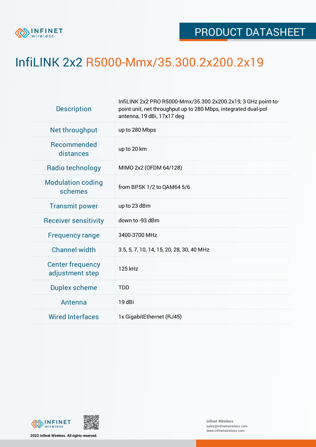

## InfiLINK 2x2 R5000-Mmx/35.300.2x200.2x19

| <b>Description</b>                         | InfiLINK 2x2 PRO R5000-Mmx/35.300.2x200.2x19, 3 GHz point-to-<br>point unit, net throughput up to 280 Mbps, integrated dual-pol<br>antenna, 19 dBi, 17x17 deg |  |  |  |  |
|--------------------------------------------|---------------------------------------------------------------------------------------------------------------------------------------------------------------|--|--|--|--|
| Net throughput                             | up to 280 Mbps                                                                                                                                                |  |  |  |  |
| Recommended<br>distances                   | up to 20 km                                                                                                                                                   |  |  |  |  |
| Radio technology                           | MIMO 2x2 (OFDM 64/128)                                                                                                                                        |  |  |  |  |
| <b>Modulation coding</b><br>schemes        | from BPSK 1/2 to QAM64 5/6                                                                                                                                    |  |  |  |  |
| <b>Transmit power</b>                      | up to 23 dBm                                                                                                                                                  |  |  |  |  |
| <b>Receiver sensitivity</b>                | down to -93 dBm                                                                                                                                               |  |  |  |  |
| <b>Frequency range</b>                     | 3400-3700 MHz                                                                                                                                                 |  |  |  |  |
| <b>Channel width</b>                       | 3.5, 5, 7, 10, 14, 15, 20, 28, 30, 40 MHz                                                                                                                     |  |  |  |  |
| <b>Center frequency</b><br>adjustment step | 125 kHz                                                                                                                                                       |  |  |  |  |
| <b>Duplex scheme</b>                       | <b>TDD</b>                                                                                                                                                    |  |  |  |  |
| Antenna                                    | 19 dBi                                                                                                                                                        |  |  |  |  |
| <b>Wired Interfaces</b>                    | 1x GigabitEthernet (RJ45)                                                                                                                                     |  |  |  |  |



**2022 Infinet Wireless. All rights reserved.**

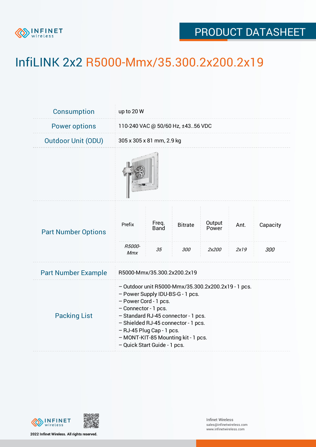

## PRODUCT DATASHEET

## InfiLINK 2x2 R5000-Mmx/35.300.2x200.2x19

| Consumption                | up to 20 W                                                                                                                                                                                                                                                                                                                 |                            |                       |                          |              |                 |  |  |
|----------------------------|----------------------------------------------------------------------------------------------------------------------------------------------------------------------------------------------------------------------------------------------------------------------------------------------------------------------------|----------------------------|-----------------------|--------------------------|--------------|-----------------|--|--|
| <b>Power options</b>       | 110-240 VAC @ 50/60 Hz, ±4356 VDC                                                                                                                                                                                                                                                                                          |                            |                       |                          |              |                 |  |  |
| <b>Outdoor Unit (ODU)</b>  | 305 x 305 x 81 mm, 2.9 kg                                                                                                                                                                                                                                                                                                  |                            |                       |                          |              |                 |  |  |
|                            |                                                                                                                                                                                                                                                                                                                            |                            |                       |                          |              |                 |  |  |
| <b>Part Number Options</b> | Prefix<br>R5000-<br><b>Mmx</b>                                                                                                                                                                                                                                                                                             | Freq.<br><b>Band</b><br>35 | <b>Bitrate</b><br>300 | Output<br>Power<br>2x200 | Ant.<br>2x19 | Capacity<br>300 |  |  |
| <b>Part Number Example</b> | R5000-Mmx/35.300.2x200.2x19                                                                                                                                                                                                                                                                                                |                            |                       |                          |              |                 |  |  |
| <b>Packing List</b>        | - Outdoor unit R5000-Mmx/35.300.2x200.2x19 - 1 pcs.<br>- Power Supply IDU-BS-G - 1 pcs.<br>- Power Cord - 1 pcs.<br>- Connector - 1 pcs.<br>- Standard RJ-45 connector - 1 pcs.<br>- Shielded RJ-45 connector - 1 pcs.<br>- RJ-45 Plug Cap - 1 pcs.<br>- MONT-KIT-85 Mounting kit - 1 pcs.<br>- Quick Start Guide - 1 pcs. |                            |                       |                          |              |                 |  |  |



**2022 Infinet Wireless. All rights reserved.**

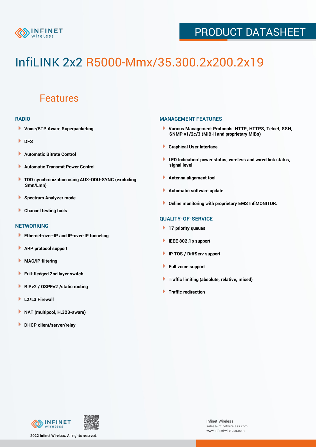

## PRODUCT DATASHEET

# InfiLINK 2x2 R5000-Mmx/35.300.2x200.2x19

### Features

#### **RADIO**

- **Voice/RTP Aware Superpacketing**
- **DFS**
- **Automatic Bitrate Control** Þ
- Þ **Automatic Transmit Power Control**
- ь **TDD synchronization using AUX-ODU-SYNC (excluding Smn/Lmn)**
- **Spectrum Analyzer mode** ۰
- **Channel testing tools** ١

#### **NETWORKING**

- **Ethernet-over-IP and IP-over-IP tunneling**
- **ARP protocol support** ٠
- ۱ **MAC/IP filtering**
- Þ **Full-fledged 2nd layer switch**
- Þ **RIPv2 / OSPFv2 /static routing**
- **L2/L3 Firewall** Þ
- **NAT (multipool, H.323-aware)** Þ
- Þ **DHCP client/server/relay**

#### **MANAGEMENT FEATURES**

- **Various Management Protocols: HTTP, HTTPS, Telnet, SSH, SNMP v1/2c/3 (MIB-II and proprietary MIBs)**
- **Graphical User Interface**
- **LED Indication: power status, wireless and wired link status, signal level**
- **Antenna alignment tool**
- ٠ **Automatic software update**
- **Online monitoring with proprietary EMS InfiMONITOR.**

#### **QUALITY-OF-SERVICE**

- **17 priority queues**
- **IEEE 802.1p support**
- **IP TOS / DiffServ support**
- ٠ **Full voice support**
- **Traffic limiting (absolute, relative, mixed)** ٠
- **Traffic redirection**